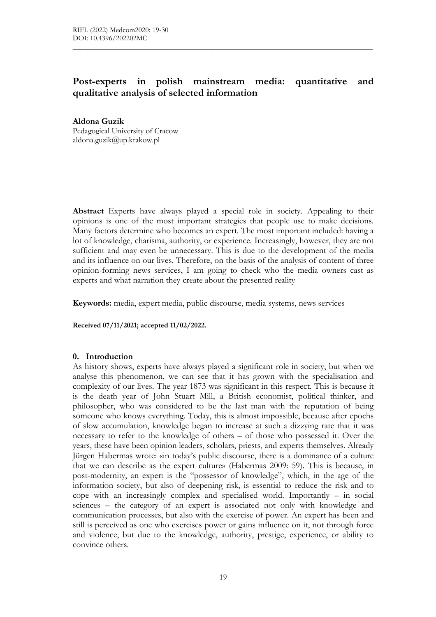# **Post-experts in polish mainstream media: quantitative and qualitative analysis of selected information**

\_\_\_\_\_\_\_\_\_\_\_\_\_\_\_\_\_\_\_\_\_\_\_\_\_\_\_\_\_\_\_\_\_\_\_\_\_\_\_\_\_\_\_\_\_\_\_\_\_\_\_\_\_\_\_\_\_\_\_\_\_\_\_\_\_\_\_\_\_\_\_\_\_\_\_\_\_\_\_\_\_\_

**Aldona Guzik** Pedagogical University of Cracow [aldona.guzik@up.krakow.pl](mailto:aldona.guzik@up.krakow.pl)

**Abstract** Experts have always played a special role in society. Appealing to their opinions is one of the most important strategies that people use to make decisions. Many factors determine who becomes an expert. The most important included: having a lot of knowledge, charisma, authority, or experience. Increasingly, however, they are not sufficient and may even be unnecessary. This is due to the development of the media and its influence on our lives. Therefore, on the basis of the analysis of content of three opinion-forming news services, I am going to check who the media owners cast as experts and what narration they create about the presented reality

**Keywords:** media, expert media, public discourse, media systems, news services

**Received 07/11/2021; accepted 11/02/2022.**

#### **0. Introduction**

As history shows, experts have always played a significant role in society, but when we analyse this phenomenon, we can see that it has grown with the specialisation and complexity of our lives. The year 1873 was significant in this respect. This is because it is the death year of John Stuart Mill, a British economist, political thinker, and philosopher, who was considered to be the last man with the reputation of being someone who knows everything. Today, this is almost impossible, because after epochs of slow accumulation, knowledge began to increase at such a dizzying rate that it was necessary to refer to the knowledge of others – of those who possessed it. Over the years, these have been opinion leaders, scholars, priests, and experts themselves. Already Jürgen Habermas wrote: «in today's public discourse, there is a dominance of a culture that we can describe as the expert culture» (Habermas 2009: 59). This is because, in post-modernity, an expert is the "possessor of knowledge", which, in the age of the information society, but also of deepening risk, is essential to reduce the risk and to cope with an increasingly complex and specialised world. Importantly – in social sciences – the category of an expert is associated not only with knowledge and communication processes, but also with the exercise of power. An expert has been and still is perceived as one who exercises power or gains influence on it, not through force and violence, but due to the knowledge, authority, prestige, experience, or ability to convince others.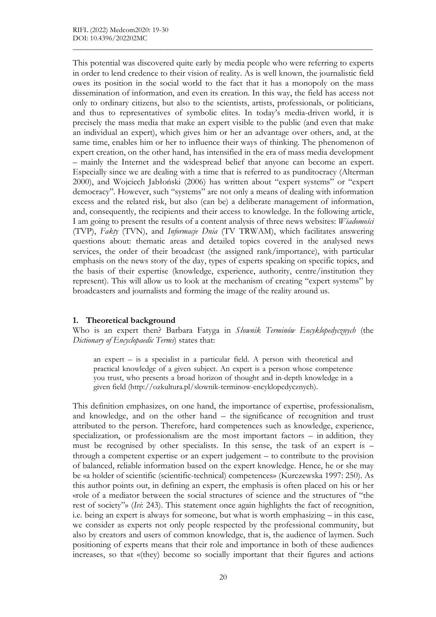This potential was discovered quite early by media people who were referring to experts in order to lend credence to their vision of reality. As is well known, the journalistic field owes its position in the social world to the fact that it has a monopoly on the mass dissemination of information, and even its creation. In this way, the field has access not only to ordinary citizens, but also to the scientists, artists, professionals, or politicians, and thus to representatives of symbolic elites. In today's media-driven world, it is precisely the mass media that make an expert visible to the public (and even that make an individual an expert), which gives him or her an advantage over others, and, at the same time, enables him or her to influence their ways of thinking. The phenomenon of expert creation, on the other hand, has intensified in the era of mass media development – mainly the Internet and the widespread belief that anyone can become an expert. Especially since we are dealing with a time that is referred to as punditocracy (Alterman 2000), and Wojciech Jabłoński (2006) has written about "expert systems" or "expert democracy". However, such "systems" are not only a means of dealing with information excess and the related risk, but also (can be) a deliberate management of information, and, consequently, the recipients and their access to knowledge. In the following article, I am going to present the results of a content analysis of three news websites: *Wiadomości* (TVP), *Fakty* (TVN), and *Informacje Dnia* (TV TRWAM), which facilitates answering questions about: thematic areas and detailed topics covered in the analysed news services, the order of their broadcast (the assigned rank/importance), with particular emphasis on the news story of the day, types of experts speaking on specific topics, and the basis of their expertise (knowledge, experience, authority, centre/institution they represent). This will allow us to look at the mechanism of creating "expert systems" by broadcasters and journalists and forming the image of the reality around us.

\_\_\_\_\_\_\_\_\_\_\_\_\_\_\_\_\_\_\_\_\_\_\_\_\_\_\_\_\_\_\_\_\_\_\_\_\_\_\_\_\_\_\_\_\_\_\_\_\_\_\_\_\_\_\_\_\_\_\_\_\_\_\_\_\_\_\_\_\_\_\_\_\_\_\_\_\_\_\_\_\_\_

## **1. Theoretical background**

Who is an expert then? Barbara Fatyga in *Słownik Terminów Encyklopedycznych* (the *Dictionary of Encyclopaedic Terms*) states that:

an expert – is a specialist in a particular field. A person with theoretical and practical knowledge of a given subject. An expert is a person whose competence you trust, who presents a broad horizon of thought and in-depth knowledge in a given field (http://ozkultura.pl/slownik-terminow-encyklopedycznych).

This definition emphasizes, on one hand, the importance of expertise, professionalism, and knowledge, and on the other hand – the significance of recognition and trust attributed to the person. Therefore, hard competences such as knowledge, experience, specialization, or professionalism are the most important factors – in addition, they must be recognised by other specialists. In this sense, the task of an expert is – through a competent expertise or an expert judgement – to contribute to the provision of balanced, reliable information based on the expert knowledge. Hence, he or she may be «a holder of scientific (scientific-technical) competences» (Kurczewska 1997: 250). As this author points out, in defining an expert, the emphasis is often placed on his or her «role of a mediator between the social structures of science and the structures of "the rest of society"» (*Ivi*: 243). This statement once again highlights the fact of recognition, i.e. being an expert is always for someone, but what is worth emphasizing – in this case, we consider as experts not only people respected by the professional community, but also by creators and users of common knowledge, that is, the audience of laymen. Such positioning of experts means that their role and importance in both of these audiences increases, so that «(they) become so socially important that their figures and actions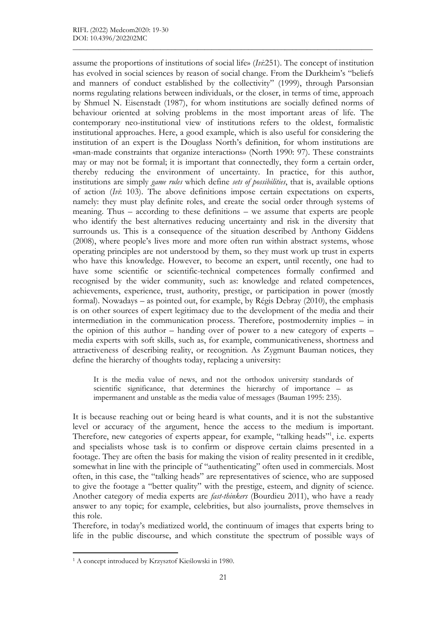assume the proportions of institutions of social life» (*Ivi*:251). The concept of institution has evolved in social sciences by reason of social change. From the Durkheim's "beliefs and manners of conduct established by the collectivity" (1999), through Parsonsian norms regulating relations between individuals, or the closer, in terms of time, approach by Shmuel N. Eisenstadt (1987), for whom institutions are socially defined norms of behaviour oriented at solving problems in the most important areas of life. The contemporary neo-institutional view of institutions refers to the oldest, formalistic institutional approaches. Here, a good example, which is also useful for considering the institution of an expert is the Douglass North's definition, for whom institutions are «man-made constraints that organize interactions» (North 1990: 97). These constraints may or may not be formal; it is important that connectedly, they form a certain order, thereby reducing the environment of uncertainty. In practice, for this author, institutions are simply *game rules* which define *sets of possibilities*, that is, available options of action (*Ivi*: 103). The above definitions impose certain expectations on experts, namely: they must play definite roles, and create the social order through systems of meaning. Thus – according to these definitions – we assume that experts are people who identify the best alternatives reducing uncertainty and risk in the diversity that surrounds us. This is a consequence of the situation described by Anthony Giddens (2008), where people's lives more and more often run within abstract systems, whose operating principles are not understood by them, so they must work up trust in experts who have this knowledge. However, to become an expert, until recently, one had to have some scientific or scientific-technical competences formally confirmed and recognised by the wider community, such as: knowledge and related competences, achievements, experience, trust, authority, prestige, or participation in power (mostly formal). Nowadays – as pointed out, for example, by Régis Debray (2010), the emphasis is on other sources of expert legitimacy due to the development of the media and their intermediation in the communication process. Therefore, postmodernity implies – in the opinion of this author – handing over of power to a new category of experts – media experts with soft skills, such as, for example, communicativeness, shortness and attractiveness of describing reality, or recognition. As Zygmunt Bauman notices, they define the hierarchy of thoughts today, replacing a university:

\_\_\_\_\_\_\_\_\_\_\_\_\_\_\_\_\_\_\_\_\_\_\_\_\_\_\_\_\_\_\_\_\_\_\_\_\_\_\_\_\_\_\_\_\_\_\_\_\_\_\_\_\_\_\_\_\_\_\_\_\_\_\_\_\_\_\_\_\_\_\_\_\_\_\_\_\_\_\_\_\_\_

It is the media value of news, and not the orthodox university standards of scientific significance, that determines the hierarchy of importance – as impermanent and unstable as the media value of messages (Bauman 1995: 235).

It is because reaching out or being heard is what counts, and it is not the substantive level or accuracy of the argument, hence the access to the medium is important. Therefore, new categories of experts appear, for example, "talking heads"<sup>1</sup>, i.e. experts and specialists whose task is to confirm or disprove certain claims presented in a footage. They are often the basis for making the vision of reality presented in it credible, somewhat in line with the principle of "authenticating" often used in commercials. Most often, in this case, the "talking heads" are representatives of science, who are supposed to give the footage a "better quality" with the prestige, esteem, and dignity of science. Another category of media experts are *fast-thinkers* (Bourdieu 2011), who have a ready answer to any topic; for example, celebrities, but also journalists, prove themselves in this role.

Therefore, in today's mediatized world, the continuum of images that experts bring to life in the public discourse, and which constitute the spectrum of possible ways of

<sup>1</sup> A concept introduced by Krzysztof Kieślowski in 1980.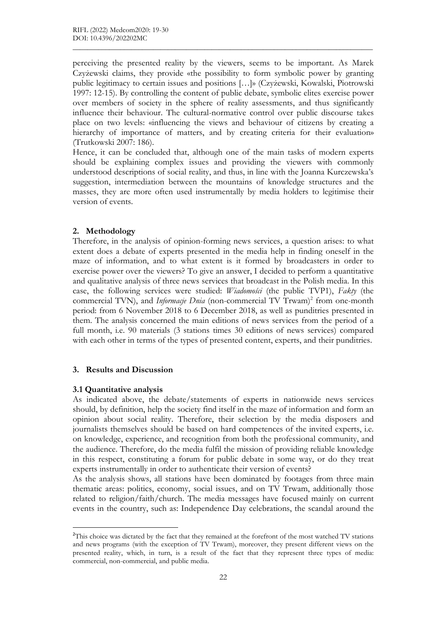perceiving the presented reality by the viewers, seems to be important. As Marek Czyżewski claims, they provide «the possibility to form symbolic power by granting public legitimacy to certain issues and positions […]» (Czyżewski, Kowalski, Piotrowski 1997: 12-15). By controlling the content of public debate, symbolic elites exercise power over members of society in the sphere of reality assessments, and thus significantly influence their behaviour. The cultural-normative control over public discourse takes place on two levels: «influencing the views and behaviour of citizens by creating a hierarchy of importance of matters, and by creating criteria for their evaluation» (Trutkowski 2007: 186).

\_\_\_\_\_\_\_\_\_\_\_\_\_\_\_\_\_\_\_\_\_\_\_\_\_\_\_\_\_\_\_\_\_\_\_\_\_\_\_\_\_\_\_\_\_\_\_\_\_\_\_\_\_\_\_\_\_\_\_\_\_\_\_\_\_\_\_\_\_\_\_\_\_\_\_\_\_\_\_\_\_\_

Hence, it can be concluded that, although one of the main tasks of modern experts should be explaining complex issues and providing the viewers with commonly understood descriptions of social reality, and thus, in line with the Joanna Kurczewska's suggestion, intermediation between the mountains of knowledge structures and the masses, they are more often used instrumentally by media holders to legitimise their version of events.

### **2. Methodology**

Therefore, in the analysis of opinion-forming news services, a question arises: to what extent does a debate of experts presented in the media help in finding oneself in the maze of information, and to what extent is it formed by broadcasters in order to exercise power over the viewers? To give an answer, I decided to perform a quantitative and qualitative analysis of three news services that broadcast in the Polish media. In this case, the following services were studied: *Wiadomości* (the public TVP1), *Fakty* (the commercial TVN), and *Informacje Dnia* (non-commercial TV Trwam)<sup>2</sup> from one-month period: from 6 November 2018 to 6 December 2018, as well as punditries presented in them. The analysis concerned the main editions of news services from the period of a full month, i.e. 90 materials (3 stations times 30 editions of news services) compared with each other in terms of the types of presented content, experts, and their punditries.

#### **3. Results and Discussion**

## **3.1 Quantitative analysis**

As indicated above, the debate/statements of experts in nationwide news services should, by definition, help the society find itself in the maze of information and form an opinion about social reality. Therefore, their selection by the media disposers and journalists themselves should be based on hard competences of the invited experts, i.e. on knowledge, experience, and recognition from both the professional community, and the audience. Therefore, do the media fulfil the mission of providing reliable knowledge in this respect, constituting a forum for public debate in some way, or do they treat experts instrumentally in order to authenticate their version of events?

As the analysis shows, all stations have been dominated by footages from three main thematic areas: politics, economy, social issues, and on TV Trwam, additionally those related to religion/faith/church. The media messages have focused mainly on current events in the country, such as: Independence Day celebrations, the scandal around the

<sup>&</sup>lt;sup>2</sup>This choice was dictated by the fact that they remained at the forefront of the most watched TV stations and news programs (with the exception of TV Trwam), moreover, they present different views on the presented reality, which, in turn, is a result of the fact that they represent three types of media: commercial, non-commercial, and public media.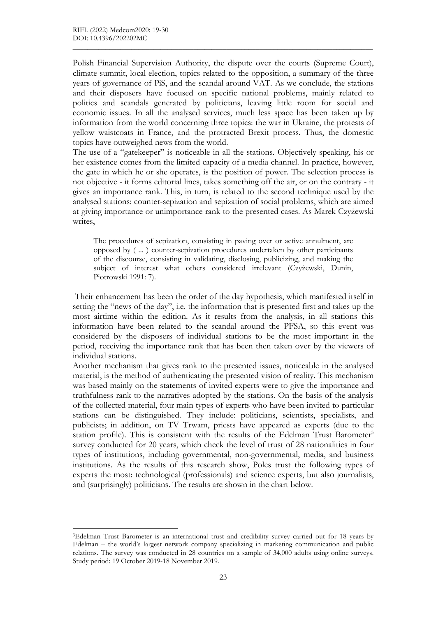Polish Financial Supervision Authority, the dispute over the courts (Supreme Court), climate summit, local election, topics related to the opposition, a summary of the three years of governance of PiS, and the scandal around VAT. As we conclude, the stations and their disposers have focused on specific national problems, mainly related to politics and scandals generated by politicians, leaving little room for social and economic issues. In all the analysed services, much less space has been taken up by information from the world concerning three topics: the war in Ukraine, the protests of yellow waistcoats in France, and the protracted Brexit process. Thus, the domestic topics have outweighed news from the world.

\_\_\_\_\_\_\_\_\_\_\_\_\_\_\_\_\_\_\_\_\_\_\_\_\_\_\_\_\_\_\_\_\_\_\_\_\_\_\_\_\_\_\_\_\_\_\_\_\_\_\_\_\_\_\_\_\_\_\_\_\_\_\_\_\_\_\_\_\_\_\_\_\_\_\_\_\_\_\_\_\_\_

The use of a "gatekeeper" is noticeable in all the stations. Objectively speaking, his or her existence comes from the limited capacity of a media channel. In practice, however, the gate in which he or she operates, is the position of power. The selection process is not objective - it forms editorial lines, takes something off the air, or on the contrary - it gives an importance rank. This, in turn, is related to the second technique used by the analysed stations: counter-sepization and sepization of social problems, which are aimed at giving importance or unimportance rank to the presented cases. As Marek Czyżewski writes,

The procedures of sepization, consisting in paving over or active annulment, are opposed by ( ... ) counter-sepization procedures undertaken by other participants of the discourse, consisting in validating, disclosing, publicizing, and making the subject of interest what others considered irrelevant (Czyżewski, Dunin, Piotrowski 1991: 7).

Their enhancement has been the order of the day hypothesis, which manifested itself in setting the "news of the day", i.e. the information that is presented first and takes up the most airtime within the edition. As it results from the analysis, in all stations this information have been related to the scandal around the PFSA, so this event was considered by the disposers of individual stations to be the most important in the period, receiving the importance rank that has been then taken over by the viewers of individual stations.

Another mechanism that gives rank to the presented issues, noticeable in the analysed material, is the method of authenticating the presented vision of reality. This mechanism was based mainly on the statements of invited experts were to give the importance and truthfulness rank to the narratives adopted by the stations. On the basis of the analysis of the collected material, four main types of experts who have been invited to particular stations can be distinguished. They include: politicians, scientists, specialists, and publicists; in addition, on TV Trwam, priests have appeared as experts (due to the station profile). This is consistent with the results of the Edelman Trust Barometer<sup>3</sup> survey conducted for 20 years, which check the level of trust of 28 nationalities in four types of institutions, including governmental, non-governmental, media, and business institutions. As the results of this research show, Poles trust the following types of experts the most: technological (professionals) and science experts, but also journalists, and (surprisingly) politicians. The results are shown in the chart below.

<sup>3</sup>Edelman Trust Barometer is an international trust and credibility survey carried out for 18 years by Edelman – the world's largest network company specializing in marketing communication and public relations. The survey was conducted in 28 countries on a sample of 34,000 adults using online surveys. Study period: 19 October 2019-18 November 2019.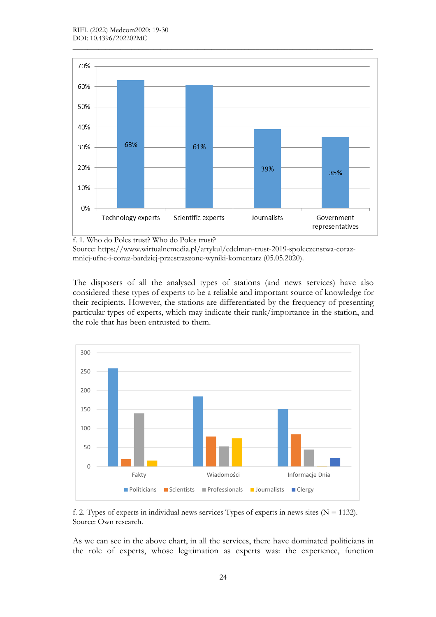

f. 1. Who do Poles trust? Who do Poles trust?

Source: https://www.wirtualnemedia.pl/artykul/edelman-trust-2019-spoleczenstwa-corazmniej-ufne-i-coraz-bardziej-przestraszone-wyniki-komentarz (05.05.2020).

The disposers of all the analysed types of stations (and news services) have also considered these types of experts to be a reliable and important source of knowledge for their recipients. However, the stations are differentiated by the frequency of presenting particular types of experts, which may indicate their rank/importance in the station, and the role that has been entrusted to them.



f. 2. Types of experts in individual news services Types of experts in news sites  $(N = 1132)$ . Source: Own research.

As we can see in the above chart, in all the services, there have dominated politicians in the role of experts, whose legitimation as experts was: the experience, function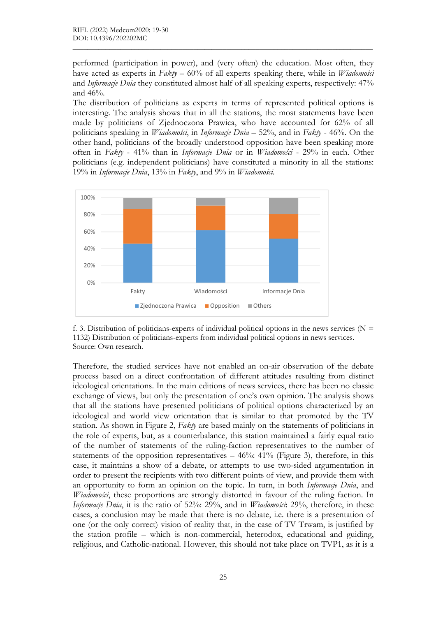performed (participation in power), and (very often) the education. Most often, they have acted as experts in *Fakty* – 60% of all experts speaking there, while in *Wiadomości* and *Informacje Dnia* they constituted almost half of all speaking experts, respectively: 47% and 46%.

\_\_\_\_\_\_\_\_\_\_\_\_\_\_\_\_\_\_\_\_\_\_\_\_\_\_\_\_\_\_\_\_\_\_\_\_\_\_\_\_\_\_\_\_\_\_\_\_\_\_\_\_\_\_\_\_\_\_\_\_\_\_\_\_\_\_\_\_\_\_\_\_\_\_\_\_\_\_\_\_\_\_

The distribution of politicians as experts in terms of represented political options is interesting. The analysis shows that in all the stations, the most statements have been made by politicians of Zjednoczona Prawica, who have accounted for 62% of all politicians speaking in *Wiadomości*, in *Informacje Dnia* – 52%, and in *Fakty* - 46%. On the other hand, politicians of the broadly understood opposition have been speaking more often in *Fakty* - 41% than in *Informacje Dnia* or in *Wiadomości* - 29% in each. Other politicians (e.g. independent politicians) have constituted a minority in all the stations: 19% in *Informacje Dnia*, 13% in *Fakty*, and 9% in *Wiadomości.*





Therefore, the studied services have not enabled an on-air observation of the debate process based on a direct confrontation of different attitudes resulting from distinct ideological orientations. In the main editions of news services, there has been no classic exchange of views, but only the presentation of one's own opinion. The analysis shows that all the stations have presented politicians of political options characterized by an ideological and world view orientation that is similar to that promoted by the TV station. As shown in Figure 2, *Fakty* are based mainly on the statements of politicians in the role of experts, but, as a counterbalance, this station maintained a fairly equal ratio of the number of statements of the ruling-faction representatives to the number of statements of the opposition representatives  $-46\%$ : 41% (Figure 3), therefore, in this case, it maintains a show of a debate, or attempts to use two-sided argumentation in order to present the recipients with two different points of view, and provide them with an opportunity to form an opinion on the topic. In turn, in both *Informacje Dnia*, and *Wiadomości*, these proportions are strongly distorted in favour of the ruling faction. In *Informacje Dnia*, it is the ratio of 52%: 29%, and in *Wiadomości*: 29%, therefore, in these cases, a conclusion may be made that there is no debate, i.e. there is a presentation of one (or the only correct) vision of reality that, in the case of TV Trwam, is justified by the station profile – which is non-commercial, heterodox, educational and guiding, religious, and Catholic-national. However, this should not take place on TVP1, as it is a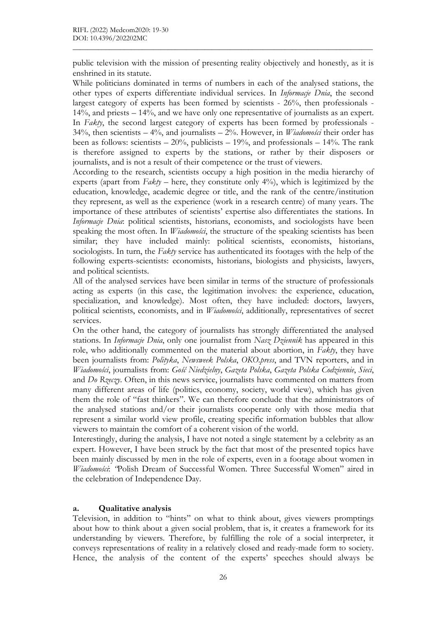public television with the mission of presenting reality objectively and honestly, as it is enshrined in its statute.

\_\_\_\_\_\_\_\_\_\_\_\_\_\_\_\_\_\_\_\_\_\_\_\_\_\_\_\_\_\_\_\_\_\_\_\_\_\_\_\_\_\_\_\_\_\_\_\_\_\_\_\_\_\_\_\_\_\_\_\_\_\_\_\_\_\_\_\_\_\_\_\_\_\_\_\_\_\_\_\_\_\_

While politicians dominated in terms of numbers in each of the analysed stations, the other types of experts differentiate individual services. In *Informacje Dnia*, the second largest category of experts has been formed by scientists - 26%, then professionals - 14%, and priests – 14%, and we have only one representative of journalists as an expert. In *Fakty*, the second largest category of experts has been formed by professionals - 34%, then scientists – 4%, and journalists – 2%. However, in *Wiadomości* their order has been as follows: scientists  $-20\%$ , publicists  $-19\%$ , and professionals  $-14\%$ . The rank is therefore assigned to experts by the stations, or rather by their disposers or journalists, and is not a result of their competence or the trust of viewers.

According to the research, scientists occupy a high position in the media hierarchy of experts (apart from  $Fakty$  – here, they constitute only  $4\%$ ), which is legitimized by the education, knowledge, academic degree or title, and the rank of the centre/institution they represent, as well as the experience (work in a research centre) of many years. The importance of these attributes of scientists' expertise also differentiates the stations. In *Informacje Dnia*: political scientists, historians, economists, and sociologists have been speaking the most often. In *Wiadomości*, the structure of the speaking scientists has been similar; they have included mainly: political scientists, economists, historians, sociologists. In turn, the *Fakty* service has authenticated its footages with the help of the following experts-scientists: economists, historians, biologists and physicists, lawyers, and political scientists.

All of the analysed services have been similar in terms of the structure of professionals acting as experts (in this case, the legitimation involves: the experience, education, specialization, and knowledge). Most often, they have included: doctors, lawyers, political scientists, economists, and in *Wiadomości*, additionally, representatives of secret services.

On the other hand, the category of journalists has strongly differentiated the analysed stations. In *Informacje Dnia*, only one journalist from *Nasz Dziennik* has appeared in this role, who additionally commented on the material about abortion, in *Fakty*, they have been journalists from: *Polityka*, *Newsweek Polska*, *OKO.press*, and TVN reporters, and in *Wiadomości*, journalists from: *Gość Niedzielny*, *Gazeta Polska*, *Gazeta Polska Codziennie*, *Sieci*, and *Do Rzeczy*. Often, in this news service, journalists have commented on matters from many different areas of life (politics, economy, society, world view), which has given them the role of "fast thinkers". We can therefore conclude that the administrators of the analysed stations and/or their journalists cooperate only with those media that represent a similar world view profile, creating specific information bubbles that allow viewers to maintain the comfort of a coherent vision of the world.

Interestingly, during the analysis, I have not noted a single statement by a celebrity as an expert. However, I have been struck by the fact that most of the presented topics have been mainly discussed by men in the role of experts, even in a footage about women in *Wiadomości*: *"*Polish Dream of Successful Women. Three Successful Women" aired in the celebration of Independence Day.

## **a. Qualitative analysis**

Television, in addition to "hints" on what to think about, gives viewers promptings about how to think about a given social problem, that is, it creates a framework for its understanding by viewers. Therefore, by fulfilling the role of a social interpreter, it conveys representations of reality in a relatively closed and ready-made form to society. Hence, the analysis of the content of the experts' speeches should always be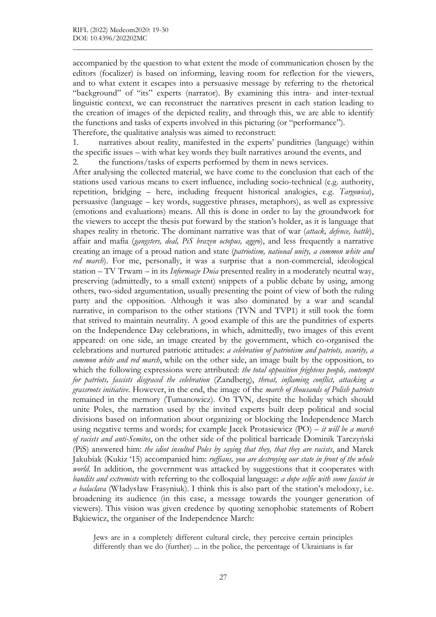accompanied by the question to what extent the mode of communication chosen by the editors (focalizer) is based on informing, leaving room for reflection for the viewers, and to what extent it escapes into a persuasive message by referring to the rhetorical "background" of "its" experts (narrator). By examining this intra- and inter-textual linguistic context, we can reconstruct the narratives present in each station leading to the creation of images of the depicted reality, and through this, we are able to identify the functions and tasks of experts involved in this picturing (or "performance"). Therefore, the qualitative analysis was aimed to reconstruct:

\_\_\_\_\_\_\_\_\_\_\_\_\_\_\_\_\_\_\_\_\_\_\_\_\_\_\_\_\_\_\_\_\_\_\_\_\_\_\_\_\_\_\_\_\_\_\_\_\_\_\_\_\_\_\_\_\_\_\_\_\_\_\_\_\_\_\_\_\_\_\_\_\_\_\_\_\_\_\_\_\_\_

1. narratives about reality, manifested in the experts' punditries (language) within the specific issues – with what key words they built narratives around the events, and

2. the functions/tasks of experts performed by them in news services.

After analysing the collected material, we have come to the conclusion that each of the stations used various means to exert influence, including socio-technical (e.g. authority, repetition, bridging – here, including frequent historical analogies, e.g. *Targowica*), persuasive (language – key words, suggestive phrases, metaphors), as well as expressive (emotions and evaluations) means. All this is done in order to lay the groundwork for the viewers to accept the thesis put forward by the station's holder, as it is language that shapes reality in rhetoric. The dominant narrative was that of war (*attack, defence, battle*), affair and mafia (*gangsters, deal, PiS brazen octopus, aggro*), and less frequently a narrative creating an image of a proud nation and state (*patriotism, national unity, a common white and red march*). For me, personally, it was a surprise that a non-commercial, ideological station – TV Trwam – in its *Informacje Dnia* presented reality in a moderately neutral way, preserving (admittedly, to a small extent) snippets of a public debate by using, among others, two-sided argumentation, usually presenting the point of view of both the ruling party and the opposition. Although it was also dominated by a war and scandal narrative, in comparison to the other stations (TVN and TVP1) it still took the form that strived to maintain neutrality. A good example of this are the punditries of experts on the Independence Day celebrations, in which, admittedly, two images of this event appeared: on one side, an image created by the government, which co-organised the celebrations and nurtured patriotic attitudes: *a celebration of patriotism and patriots, security, a common white and red march*, while on the other side, an image built by the opposition, to which the following expressions were attributed: *the total opposition frightens people, contempt for patriots, fascists disgraced the celebration* (Zandberg), *threat, inflaming conflict, attacking a grassroots initiative*. However, in the end, the image of the *march of thousands of Polish patriots* remained in the memory (Tumanowicz). On TVN, despite the holiday which should unite Poles, the narration used by the invited experts built deep political and social divisions based on information about organizing or blocking the Independence March using negative terms and words; for example Jacek Protasiewicz (PO) – *it will be a march of racists and anti-Semites*, on the other side of the political barricade Dominik Tarczyński (PiS) answered him: *the idiot insulted Poles by saying that they, that they are racists*, and Marek Jakubiak (Kukiz '15) accompanied him: *ruffians, you are destroying our state in front of the whole world*. In addition, the government was attacked by suggestions that it cooperates with *bandits and extremists* with referring to the colloquial language: *a dope selfie with some fascist in a balaclava* (Władysław Frasyniuk). I think this is also part of the station's melodoxy, i.e. broadening its audience (in this case, a message towards the younger generation of viewers). This vision was given credence by quoting xenophobic statements of Robert Bąkiewicz, the organiser of the Independence March:

Jews are in a completely different cultural circle, they perceive certain principles differently than we do (further) ... in the police, the percentage of Ukrainians is far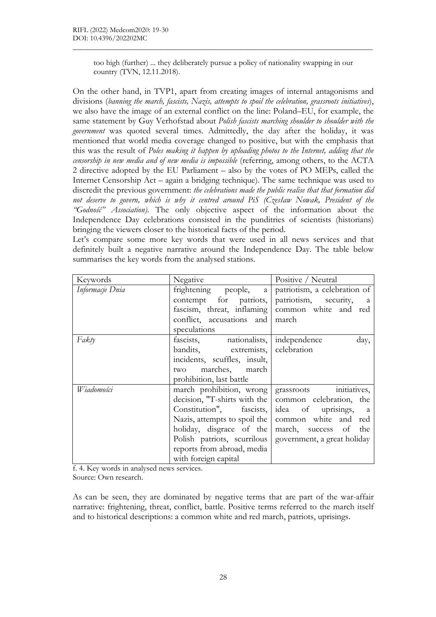too high (further) ... they deliberately pursue a policy of nationality swapping in our country (TVN, 12.11.2018).

\_\_\_\_\_\_\_\_\_\_\_\_\_\_\_\_\_\_\_\_\_\_\_\_\_\_\_\_\_\_\_\_\_\_\_\_\_\_\_\_\_\_\_\_\_\_\_\_\_\_\_\_\_\_\_\_\_\_\_\_\_\_\_\_\_\_\_\_\_\_\_\_\_\_\_\_\_\_\_\_\_\_

On the other hand, in TVP1, apart from creating images of internal antagonisms and divisions (*banning the march, fascists, Nazis, attempts to spoil the celebration, grassroots initiatives*), we also have the image of an external conflict on the line: Poland–EU, for example, the same statement by Guy Verhofstad about *Polish fascists marching shoulder to shoulder with the government* was quoted several times. Admittedly, the day after the holiday, it was mentioned that world media coverage changed to positive, but with the emphasis that this was the result of *Poles making it happen by uploading photos to the Internet, adding that the censorship in new media and of new media is impossible* (referring, among others, to the ACTA 2 directive adopted by the EU Parliament – also by the votes of PO MEPs, called the Internet Censorship Act – again a bridging technique). The same technique was used to discredit the previous government: *the celebrations made the public realise that that formation did not deserve to govern, which is why it centred around PiS (Czesław Nowak, President of the "Godność" Association).* The only objective aspect of the information about the Independence Day celebrations consisted in the punditries of scientists (historians) bringing the viewers closer to the historical facts of the period.

Let's compare some more key words that were used in all news services and that definitely built a negative narrative around the Independence Day. The table below summarises the key words from the analysed stations.

| Keywords        | Negative                     | Positive / Neutral                                 |
|-----------------|------------------------------|----------------------------------------------------|
| Informacje Dnia |                              | frightening people, a patriotism, a celebration of |
|                 |                              | contempt for patriots, patriotism, security, a     |
|                 | fascism, threat, inflaming   | common white and red                               |
|                 | conflict, accusations and    | march                                              |
|                 | speculations                 |                                                    |
| Fakty           | fascists, nationalists,      | independence<br>day,                               |
|                 | bandits, extremists,         | celebration                                        |
|                 | incidents, scuffles, insult, |                                                    |
|                 | two marches, march           |                                                    |
|                 | prohibition, last battle     |                                                    |
| Wiadomości      | march prohibition, wrong     | grassroots initiatives,                            |
|                 | decision, "T-shirts with the | common celebration, the                            |
|                 | Constitution", fascists,     | idea of uprisings, a                               |
|                 | Nazis, attempts to spoil the | common white and red                               |
|                 | holiday, disgrace of the     | march, success of the                              |
|                 | Polish patriots, scurrilous  | government, a great holiday                        |
|                 | reports from abroad, media   |                                                    |
|                 | with foreign capital         |                                                    |

f. 4. Key words in analysed news services.

Source: Own research.

As can be seen, they are dominated by negative terms that are part of the war-affair narrative: frightening, threat, conflict, battle. Positive terms referred to the march itself and to historical descriptions: a common white and red march, patriots, uprisings.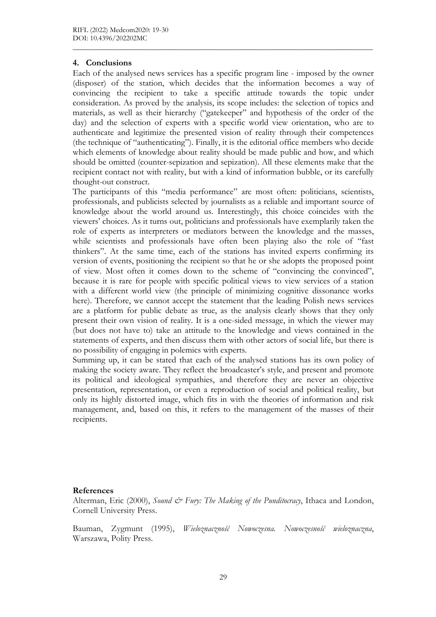## **4. Conclusions**

Each of the analysed news services has a specific program line - imposed by the owner (disposer) of the station, which decides that the information becomes a way of convincing the recipient to take a specific attitude towards the topic under consideration. As proved by the analysis, its scope includes: the selection of topics and materials, as well as their hierarchy ("gatekeeper" and hypothesis of the order of the day) and the selection of experts with a specific world view orientation, who are to authenticate and legitimize the presented vision of reality through their competences (the technique of "authenticating"). Finally, it is the editorial office members who decide which elements of knowledge about reality should be made public and how, and which should be omitted (counter-sepization and sepization). All these elements make that the recipient contact not with reality, but with a kind of information bubble, or its carefully thought-out construct.

\_\_\_\_\_\_\_\_\_\_\_\_\_\_\_\_\_\_\_\_\_\_\_\_\_\_\_\_\_\_\_\_\_\_\_\_\_\_\_\_\_\_\_\_\_\_\_\_\_\_\_\_\_\_\_\_\_\_\_\_\_\_\_\_\_\_\_\_\_\_\_\_\_\_\_\_\_\_\_\_\_\_

The participants of this "media performance" are most often: politicians, scientists, professionals, and publicists selected by journalists as a reliable and important source of knowledge about the world around us. Interestingly, this choice coincides with the viewers' choices. As it turns out, politicians and professionals have exemplarily taken the role of experts as interpreters or mediators between the knowledge and the masses, while scientists and professionals have often been playing also the role of "fast" thinkers". At the same time, each of the stations has invited experts confirming its version of events, positioning the recipient so that he or she adopts the proposed point of view. Most often it comes down to the scheme of "convincing the convinced", because it is rare for people with specific political views to view services of a station with a different world view (the principle of minimizing cognitive dissonance works here). Therefore, we cannot accept the statement that the leading Polish news services are a platform for public debate as true, as the analysis clearly shows that they only present their own vision of reality. It is a one-sided message, in which the viewer may (but does not have to) take an attitude to the knowledge and views contained in the statements of experts, and then discuss them with other actors of social life, but there is no possibility of engaging in polemics with experts.

Summing up, it can be stated that each of the analysed stations has its own policy of making the society aware. They reflect the broadcaster's style, and present and promote its political and ideological sympathies, and therefore they are never an objective presentation, representation, or even a reproduction of social and political reality, but only its highly distorted image, which fits in with the theories of information and risk management, and, based on this, it refers to the management of the masses of their recipients.

## **References**

Alterman, Eric (2000), *Sound & Fury: The Making of the Punditocracy*, Ithaca and London, Cornell University Press.

Bauman, Zygmunt (1995), *Wieloznaczność Nowoczesna. Nowoczesność wieloznaczna*, Warszawa, Polity Press.